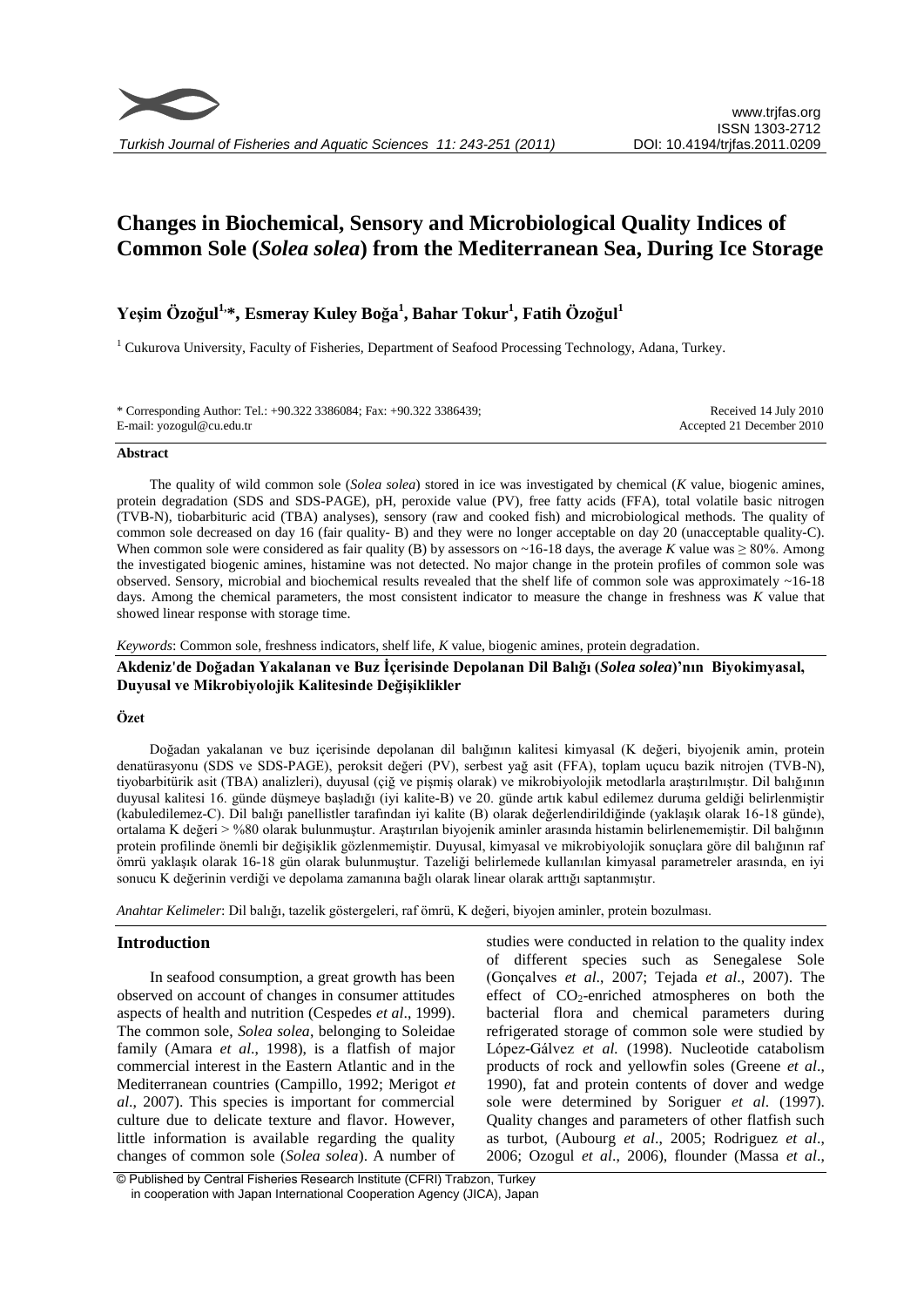

# **Changes in Biochemical, Sensory and Microbiological Quality Indices of Common Sole (***Solea solea***) from the Mediterranean Sea, During Ice Storage**

## **Yeşim Özoğul1, \*, Esmeray Kuley Boğa 1 , Bahar Tokur<sup>1</sup> , Fatih Özoğul<sup>1</sup>**

<sup>1</sup> Cukurova University, Faculty of Fisheries, Department of Seafood Processing Technology, Adana, Turkey.

| * Corresponding Author: Tel.: +90.322 3386084; Fax: +90.322 3386439; | Received 14 July 2010     |
|----------------------------------------------------------------------|---------------------------|
| E-mail: yozogul@cu.edu.tr                                            | Accepted 21 December 2010 |

## **Abstract**

The quality of wild common sole (*Solea solea*) stored in ice was investigated by chemical (*K* value, biogenic amines, protein degradation (SDS and SDS-PAGE), pH, peroxide value (PV), free fatty acids (FFA), total volatile basic nitrogen (TVB-N), tiobarbituric acid (TBA) analyses), sensory (raw and cooked fish) and microbiological methods. The quality of common sole decreased on day 16 (fair quality- B) and they were no longer acceptable on day 20 (unacceptable quality-C). When common sole were considered as fair quality (B) by assessors on ~16-18 days, the average *K* value was  $\geq 80\%$ . Among the investigated biogenic amines, histamine was not detected. No major change in the protein profiles of common sole was observed. Sensory, microbial and biochemical results revealed that the shelf life of common sole was approximately ~16-18 days. Among the chemical parameters, the most consistent indicator to measure the change in freshness was *K* value that showed linear response with storage time.

*Keywords*: Common sole, freshness indicators, shelf life, *K* value, biogenic amines, protein degradation.

**Akdeniz'de Doğadan Yakalanan ve Buz İçerisinde Depolanan Dil Balığı (***Solea solea***)'nın Biyokimyasal, Duyusal ve Mikrobiyolojik Kalitesinde Değişiklikler**

## **Özet**

Doğadan yakalanan ve buz içerisinde depolanan dil balığının kalitesi kimyasal (K değeri, biyojenik amin, protein denatürasyonu (SDS ve SDS-PAGE), peroksit değeri (PV), serbest yağ asit (FFA), toplam uçucu bazik nitrojen (TVB-N), tiyobarbitürik asit (TBA) analizleri), duyusal (çiğ ve pişmiş olarak) ve mikrobiyolojik metodlarla araştırılmıştır. Dil balığının duyusal kalitesi 16. günde düşmeye başladığı (iyi kalite-B) ve 20. günde artık kabul edilemez duruma geldiği belirlenmiştir (kabuledilemez-C). Dil balığı panellistler tarafından iyi kalite (B) olarak değerlendirildiğinde (yaklaşık olarak 16-18 günde), ortalama K değeri > %80 olarak bulunmuştur. Araştırılan biyojenik aminler arasında histamin belirlenememiştir. Dil balığının protein profilinde önemli bir değişiklik gözlenmemiştir. Duyusal, kimyasal ve mikrobiyolojik sonuçlara göre dil balığının raf ömrü yaklaşık olarak 16-18 gün olarak bulunmuştur. Tazeliği belirlemede kullanılan kimyasal parametreler arasında, en iyi sonucu K değerinin verdiği ve depolama zamanına bağlı olarak linear olarak arttığı saptanmıştır.

*Anahtar Kelimeler*: Dil balığı, tazelik göstergeleri, raf ömrü, K değeri, biyojen aminler, protein bozulması.

## **Introduction**

In seafood consumption, a great growth has been observed on account of changes in consumer attitudes aspects of health and nutrition (Cespedes *et al*., 1999). The common sole, *Solea solea*, belonging to Soleidae family (Amara *et al*., 1998), is a flatfish of major commercial interest in the Eastern Atlantic and in the Mediterranean countries (Campillo, 1992; Merigot *et al*., 2007). This species is important for commercial culture due to delicate texture and flavor. However, little information is available regarding the quality changes of common sole (*Solea solea*). A number of

studies were conducted in relation to the quality index of different species such as Senegalese Sole (Gonçalves *et al*., 2007; Tejada *et al*., 2007). The effect of  $CO_2$ -enriched atmospheres on both the bacterial flora and chemical parameters during refrigerated storage of common sole were studied by Lόpez-Gálvez *et al.* (1998). Nucleotide catabolism products of rock and yellowfin soles (Greene *et al*., 1990), fat and protein contents of dover and wedge sole were determined by Soriguer *et al*. (1997). Quality changes and parameters of other flatfish such as turbot, (Aubourg *et al*., 2005; Rodriguez *et al*., 2006; Ozogul *et al*., 2006), flounder (Massa *et al*.,

<sup>©</sup> Published by Central Fisheries Research Institute (CFRI) Trabzon, Turkey in cooperation with Japan International Cooperation Agency (JICA), Japan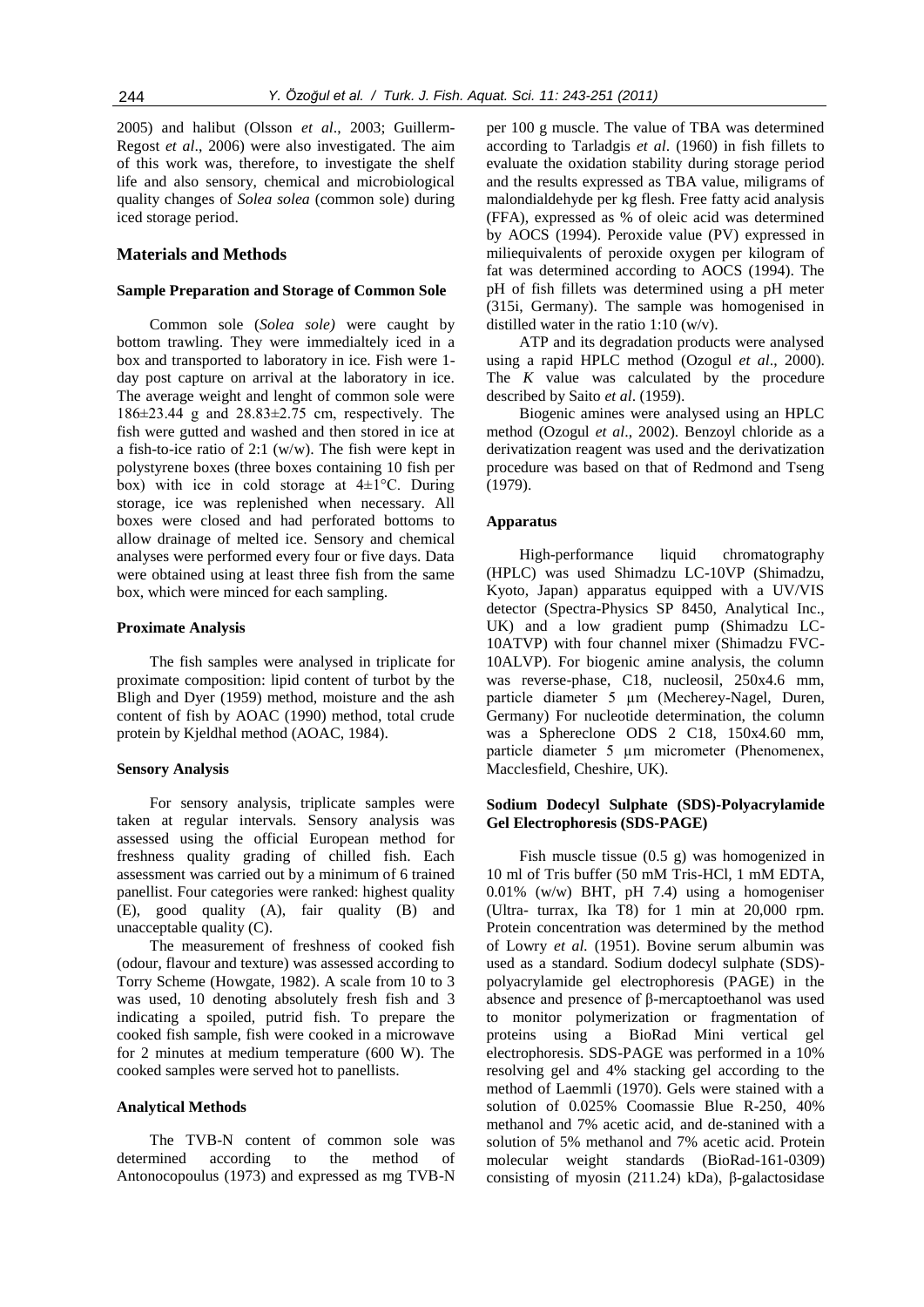2005) and halibut (Olsson *et al*., 2003; Guillerm-Regost *et al*., 2006) were also investigated. The aim of this work was, therefore, to investigate the shelf life and also sensory, chemical and microbiological quality changes of *Solea solea* (common sole) during iced storage period.

## **Materials and Methods**

## **Sample Preparation and Storage of Common Sole**

Common sole (*Solea sole)* were caught by bottom trawling. They were immedialtely iced in a box and transported to laboratory in ice. Fish were 1 day post capture on arrival at the laboratory in ice. The average weight and lenght of common sole were 186±23.44 g and 28.83±2.75 cm, respectively. The fish were gutted and washed and then stored in ice at a fish-to-ice ratio of 2:1 (w/w). The fish were kept in polystyrene boxes (three boxes containing 10 fish per box) with ice in cold storage at  $4\pm1$ °C. During storage, ice was replenished when necessary. All boxes were closed and had perforated bottoms to allow drainage of melted ice. Sensory and chemical analyses were performed every four or five days. Data were obtained using at least three fish from the same box, which were minced for each sampling.

## **Proximate Analysis**

The fish samples were analysed in triplicate for proximate composition: lipid content of turbot by the Bligh and Dyer (1959) method, moisture and the ash content of fish by AOAC (1990) method, total crude protein by Kjeldhal method (AOAC, 1984).

#### **Sensory Analysis**

For sensory analysis, triplicate samples were taken at regular intervals. Sensory analysis was assessed using the official European method for freshness quality grading of chilled fish. Each assessment was carried out by a minimum of 6 trained panellist. Four categories were ranked: highest quality (E), good quality (A), fair quality (B) and unacceptable quality (C).

The measurement of freshness of cooked fish (odour, flavour and texture) was assessed according to Torry Scheme (Howgate, 1982). A scale from 10 to 3 was used, 10 denoting absolutely fresh fish and 3 indicating a spoiled, putrid fish. To prepare the cooked fish sample, fish were cooked in a microwave for 2 minutes at medium temperature (600 W). The cooked samples were served hot to panellists.

## **Analytical Methods**

The TVB-N content of common sole was determined according to the method of Antonocopoulus (1973) and expressed as mg TVB-N

per 100 g muscle. The value of TBA was determined according to Tarladgis *et al*. (1960) in fish fillets to evaluate the oxidation stability during storage period and the results expressed as TBA value, miligrams of malondialdehyde per kg flesh. Free fatty acid analysis (FFA), expressed as % of oleic acid was determined by AOCS (1994). Peroxide value (PV) expressed in miliequivalents of peroxide oxygen per kilogram of fat was determined according to AOCS (1994). The pH of fish fillets was determined using a pH meter (315i, Germany). The sample was homogenised in distilled water in the ratio 1:10 (w/v).

ATP and its degradation products were analysed using a rapid HPLC method (Ozogul *et al*., 2000). The *K* value was calculated by the procedure described by Saito *et al*. (1959).

Biogenic amines were analysed using an HPLC method (Ozogul *et al*., 2002). Benzoyl chloride as a derivatization reagent was used and the derivatization procedure was based on that of Redmond and Tseng (1979).

#### **Apparatus**

High-performance liquid chromatography (HPLC) was used Shimadzu LC-10VP (Shimadzu, Kyoto, Japan) apparatus equipped with a UV/VIS detector (Spectra-Physics SP 8450, Analytical Inc., UK) and a low gradient pump (Shimadzu LC-10ATVP) with four channel mixer (Shimadzu FVC-10ALVP). For biogenic amine analysis, the column was reverse-phase, C18, nucleosil, 250x4.6 mm, particle diameter 5 µm (Mecherey-Nagel, Duren, Germany) For nucleotide determination, the column was a Sphereclone ODS 2 C18, 150x4.60 mm, particle diameter 5 µm micrometer (Phenomenex, Macclesfield, Cheshire, UK).

## **Sodium Dodecyl Sulphate (SDS)-Polyacrylamide Gel Electrophoresis (SDS-PAGE)**

Fish muscle tissue (0.5 g) was homogenized in 10 ml of Tris buffer (50 mM Tris-HCl, 1 mM EDTA, 0.01% (w/w) BHT, pH 7.4) using a homogeniser (Ultra- turrax, Ika T8) for 1 min at 20,000 rpm. Protein concentration was determined by the method of Lowry *et al.* (1951). Bovine serum albumin was used as a standard. Sodium dodecyl sulphate (SDS) polyacrylamide gel electrophoresis (PAGE) in the absence and presence of β-mercaptoethanol was used to monitor polymerization or fragmentation of proteins using a BioRad Mini vertical gel electrophoresis. SDS-PAGE was performed in a 10% resolving gel and 4% stacking gel according to the method of Laemmli (1970). Gels were stained with a solution of 0.025% Coomassie Blue R-250, 40% methanol and 7% acetic acid, and de-stanined with a solution of 5% methanol and 7% acetic acid. Protein molecular weight standards (BioRad-161-0309) consisting of myosin (211.24) kDa), β-galactosidase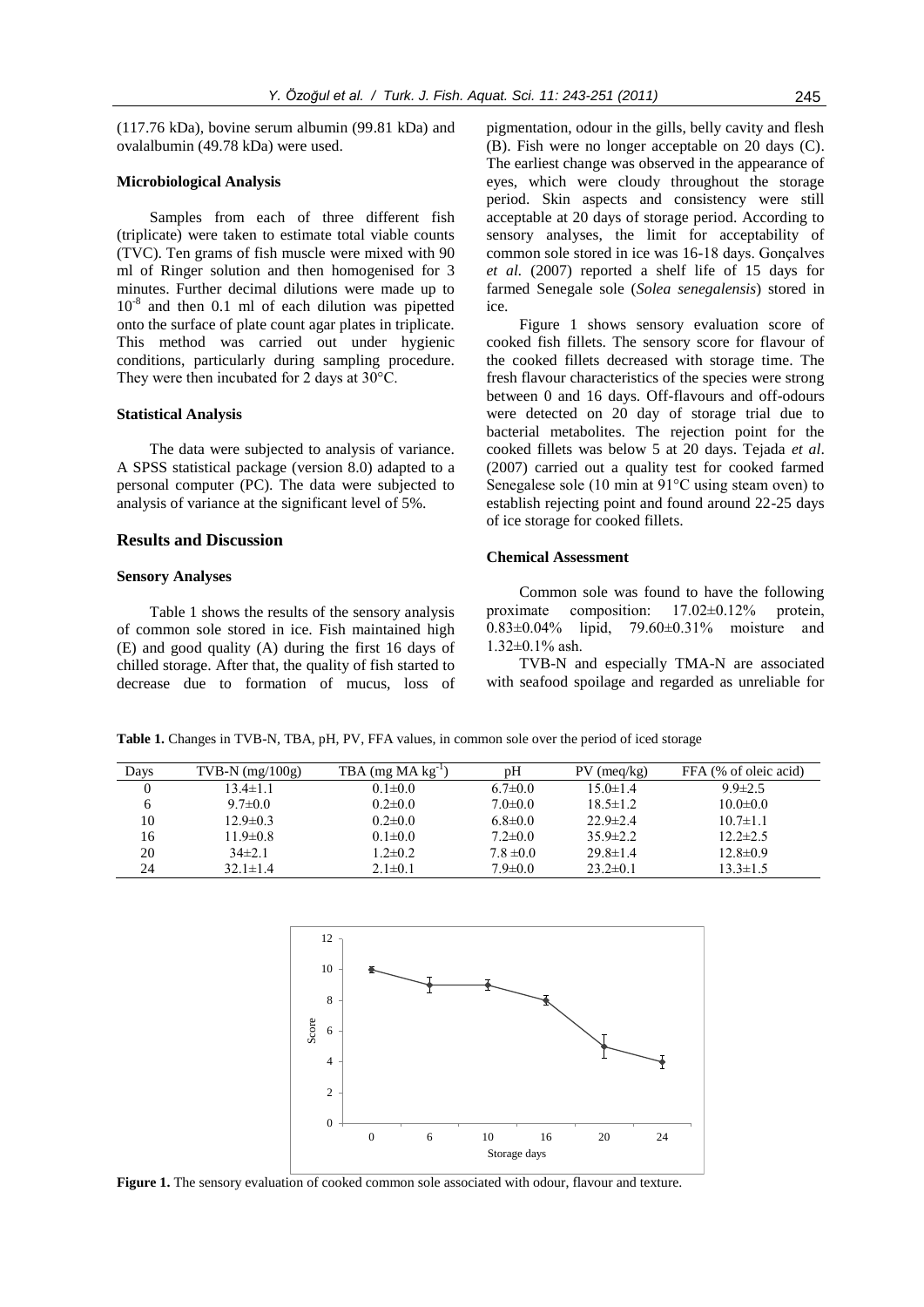(117.76 kDa), bovine serum albumin (99.81 kDa) and ovalalbumin (49.78 kDa) were used.

## **Microbiological Analysis**

Samples from each of three different fish (triplicate) were taken to estimate total viable counts (TVC). Ten grams of fish muscle were mixed with 90 ml of Ringer solution and then homogenised for 3 minutes. Further decimal dilutions were made up to 10<sup>-8</sup> and then 0.1 ml of each dilution was pipetted onto the surface of plate count agar plates in triplicate. This method was carried out under hygienic conditions, particularly during sampling procedure. They were then incubated for 2 days at 30°C.

## **Statistical Analysis**

The data were subjected to analysis of variance. A SPSS statistical package (version 8.0) adapted to a personal computer (PC). The data were subjected to analysis of variance at the significant level of 5%.

## **Results and Discussion**

## **Sensory Analyses**

Table 1 shows the results of the sensory analysis of common sole stored in ice. Fish maintained high (E) and good quality (A) during the first 16 days of chilled storage. After that, the quality of fish started to decrease due to formation of mucus, loss of

pigmentation, odour in the gills, belly cavity and flesh (B). Fish were no longer acceptable on 20 days (C). The earliest change was observed in the appearance of eyes, which were cloudy throughout the storage period. Skin aspects and consistency were still acceptable at 20 days of storage period. According to sensory analyses, the limit for acceptability of common sole stored in ice was 16-18 days. Gonçalves *et al.* (2007) reported a shelf life of 15 days for farmed Senegale sole (*Solea senegalensis*) stored in ice.

Figure 1 shows sensory evaluation score of cooked fish fillets. The sensory score for flavour of the cooked fillets decreased with storage time. The fresh flavour characteristics of the species were strong between 0 and 16 days. Off-flavours and off-odours were detected on 20 day of storage trial due to bacterial metabolites. The rejection point for the cooked fillets was below 5 at 20 days. Tejada *et al*. (2007) carried out a quality test for cooked farmed Senegalese sole (10 min at 91°C using steam oven) to establish rejecting point and found around 22-25 days of ice storage for cooked fillets.

#### **Chemical Assessment**

Common sole was found to have the following proximate composition: 17.02±0.12% protein, 0.83±0.04% lipid, 79.60±0.31% moisture and 1.32±0.1% ash.

TVB-N and especially TMA-N are associated with seafood spoilage and regarded as unreliable for

**Table 1.** Changes in TVB-N, TBA, pH, PV, FFA values, in common sole over the period of iced storage

| Days | $TVB-N$ (mg/100g) | $TBA$ (mg $MA$ kg <sup>-1</sup> ) | pΗ            | $PV$ (meg/kg)  | FFA (% of oleic acid) |
|------|-------------------|-----------------------------------|---------------|----------------|-----------------------|
|      | $13.4 \pm 1.1$    | $0.1 \pm 0.0$                     | $6.7 \pm 0.0$ | $15.0 \pm 1.4$ | $9.9 \pm 2.5$         |
|      | $9.7 \pm 0.0$     | $0.2 \pm 0.0$                     | $7.0 \pm 0.0$ | $18.5 \pm 1.2$ | $10.0 \pm 0.0$        |
| 10   | $12.9 \pm 0.3$    | $0.2 \pm 0.0$                     | $6.8 \pm 0.0$ | $22.9 \pm 2.4$ | $10.7 \pm 1.1$        |
| 16   | $11.9 \pm 0.8$    | $0.1 \pm 0.0$                     | $7.2 \pm 0.0$ | $35.9 \pm 2.2$ | $12.2 \pm 2.5$        |
| 20   | $34\pm2.1$        | $1.2 \pm 0.2$                     | $7.8 \pm 0.0$ | $29.8 \pm 1.4$ | $12.8 \pm 0.9$        |
| 24   | $32.1 \pm 1.4$    | $2.1 \pm 0.1$                     | $7.9 \pm 0.0$ | $23.2 \pm 0.1$ | $13.3 \pm 1.5$        |



**Figure 1.** The sensory evaluation of cooked common sole associated with odour, flavour and texture.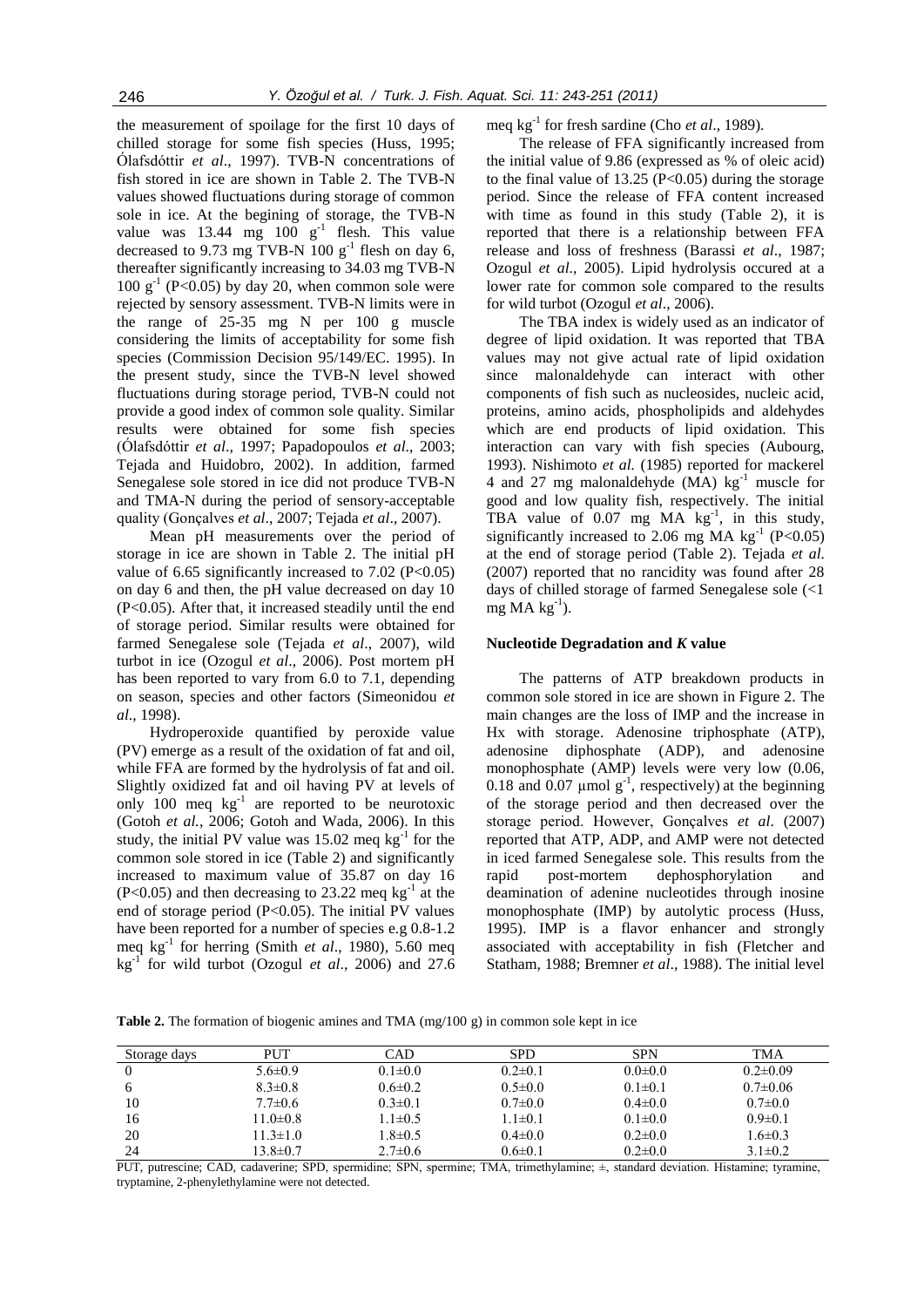the measurement of spoilage for the first 10 days of chilled storage for some fish species (Huss, 1995; Ólafsdóttir *et al*., 1997). TVB-N concentrations of fish stored in ice are shown in Table 2. The TVB-N values showed fluctuations during storage of common sole in ice. At the begining of storage, the TVB-N value was  $13.44 \text{ mg}$   $100 \text{ g}^{-1}$  flesh. This value decreased to 9.73 mg TVB-N  $100 \text{ g}^{-1}$  flesh on day 6, thereafter significantly increasing to 34.03 mg TVB-N  $100 \text{ g}^{-1}$  (P<0.05) by day 20, when common sole were rejected by sensory assessment. TVB-N limits were in the range of 25-35 mg N per 100 g muscle considering the limits of acceptability for some fish species (Commission Decision 95/149/EC. 1995). In the present study, since the TVB-N level showed fluctuations during storage period, TVB-N could not provide a good index of common sole quality. Similar results were obtained for some fish species (Ólafsdóttir *et al*., 1997; Papadopoulos *et al*., 2003; Tejada and Huidobro, 2002). In addition, farmed Senegalese sole stored in ice did not produce TVB-N and TMA-N during the period of sensory-acceptable quality (Gonçalves *et al*., 2007; Tejada *et al*., 2007).

Mean pH measurements over the period of storage in ice are shown in Table 2. The initial pH value of 6.65 significantly increased to 7.02 (P<0.05) on day 6 and then, the pH value decreased on day 10 (P<0.05). After that, it increased steadily until the end of storage period. Similar results were obtained for farmed Senegalese sole (Tejada *et al*., 2007), wild turbot in ice (Ozogul *et al*., 2006). Post mortem pH has been reported to vary from 6.0 to 7.1, depending on season, species and other factors (Simeonidou *et al*., 1998).

Hydroperoxide quantified by peroxide value (PV) emerge as a result of the oxidation of fat and oil, while FFA are formed by the hydrolysis of fat and oil. Slightly oxidized fat and oil having PV at levels of only 100 meq  $kg^{-1}$  are reported to be neurotoxic (Gotoh *et al.*, 2006; Gotoh and Wada, 2006). In this study, the initial PV value was  $15.02$  meq kg<sup>-1</sup> for the common sole stored in ice (Table 2) and significantly increased to maximum value of 35.87 on day 16  $(P<0.05)$  and then decreasing to 23.22 meq kg<sup>-1</sup> at the end of storage period (P<0.05). The initial PV values have been reported for a number of species e.g 0.8-1.2 meq kg-1 for herring (Smith *et al*., 1980)*,* 5.60 meq  $kg^{-1}$  for wild turbot (Ozogul *et al.*, 2006) and 27.6 meq kg<sup>-1</sup> for fresh sardine (Cho *et al.*, 1989).

The release of FFA significantly increased from the initial value of 9.86 (expressed as % of oleic acid) to the final value of  $13.25$  (P<0.05) during the storage period. Since the release of FFA content increased with time as found in this study (Table 2), it is reported that there is a relationship between FFA release and loss of freshness (Barassi *et al*., 1987; Ozogul *et al*., 2005). Lipid hydrolysis occured at a lower rate for common sole compared to the results for wild turbot (Ozogul *et al*., 2006).

The TBA index is widely used as an indicator of degree of lipid oxidation. It was reported that TBA values may not give actual rate of lipid oxidation since malonaldehyde can interact with other components of fish such as nucleosides, nucleic acid, proteins, amino acids, phospholipids and aldehydes which are end products of lipid oxidation. This interaction can vary with fish species (Aubourg, 1993). Nishimoto *et al.* (1985) reported for mackerel 4 and 27 mg malonaldehyde (MA)  $kg^{-1}$  muscle for good and low quality fish, respectively. The initial TBA value of  $0.07$  mg MA  $kg^{-1}$ , in this study, significantly increased to 2.06 mg MA  $\text{kg}^{-1}$  (P<0.05) at the end of storage period (Table 2). Tejada *et al.* (2007) reported that no rancidity was found after 28 days of chilled storage of farmed Senegalese sole (<1  $mg$  MA kg<sup>-1</sup>).

#### **Nucleotide Degradation and** *K* **value**

The patterns of ATP breakdown products in common sole stored in ice are shown in Figure 2. The main changes are the loss of IMP and the increase in Hx with storage. Adenosine triphosphate (ATP), adenosine diphosphate (ADP), and adenosine monophosphate (AMP) levels were very low (0.06, 0.18 and 0.07  $\mu$ mol g<sup>-1</sup>, respectively) at the beginning of the storage period and then decreased over the storage period. However, Gonçalves *et al*. (2007) reported that ATP, ADP, and AMP were not detected in iced farmed Senegalese sole. This results from the rapid post-mortem dephosphorylation and deamination of adenine nucleotides through inosine monophosphate (IMP) by autolytic process (Huss, 1995). IMP is a flavor enhancer and strongly associated with acceptability in fish (Fletcher and Statham, 1988; Bremner *et al*., 1988). The initial level

**Table 2.** The formation of biogenic amines and TMA (mg/100 g) in common sole kept in ice

| Storage days   | <b>PUT</b>     | CAD           | <b>SPD</b>    | <b>SPN</b>    | <b>TMA</b>     |
|----------------|----------------|---------------|---------------|---------------|----------------|
| $\overline{0}$ | $5.6 \pm 0.9$  | $0.1 \pm 0.0$ | $0.2 \pm 0.1$ | $0.0 \pm 0.0$ | $0.2 \pm 0.09$ |
| 6              | $8.3 \pm 0.8$  | $0.6 \pm 0.2$ | $0.5 \pm 0.0$ | $0.1 \pm 0.1$ | $0.7 \pm 0.06$ |
| 10             | $7.7 \pm 0.6$  | $0.3 \pm 0.1$ | $0.7 \pm 0.0$ | $0.4 \pm 0.0$ | $0.7 \pm 0.0$  |
| 16             | $11.0 \pm 0.8$ | $1.1 \pm 0.5$ | $1.1 \pm 0.1$ | $0.1 \pm 0.0$ | $0.9 \pm 0.1$  |
| 20             | $11.3 \pm 1.0$ | $1.8 \pm 0.5$ | $0.4 \pm 0.0$ | $0.2 \pm 0.0$ | $1.6 \pm 0.3$  |
| 24             | $13.8 \pm 0.7$ | $2.7 \pm 0.6$ | $0.6 \pm 0.1$ | $0.2 \pm 0.0$ | $3.1 \pm 0.2$  |

PUT, putrescine; CAD, cadaverine; SPD, spermidine; SPN, spermine; TMA, trimethylamine; ±, standard deviation. Histamine; tyramine, tryptamine, 2-phenylethylamine were not detected.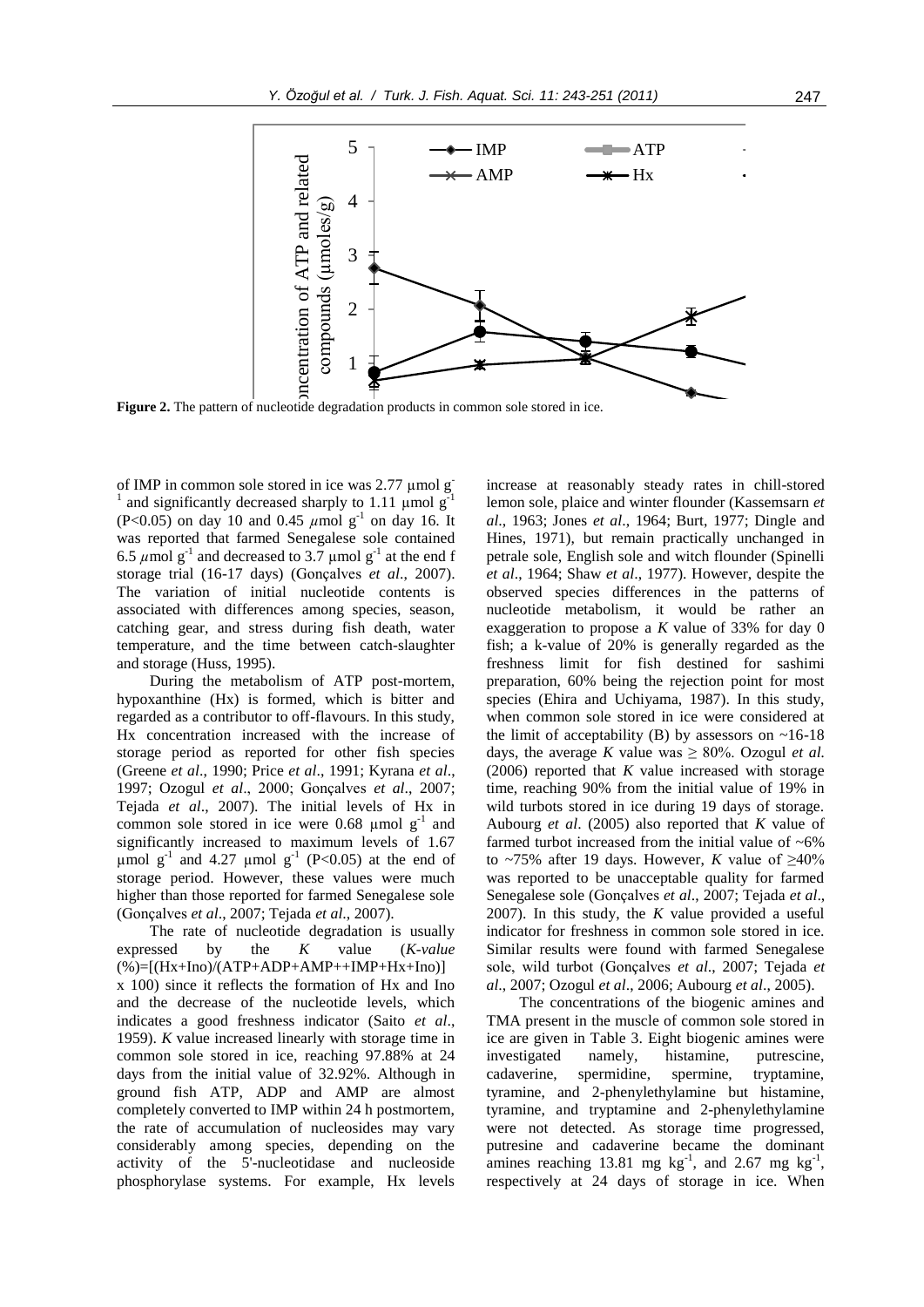

 $\mathbf{u}_0$ **Figure 2.** The pattern of nucleotide degradation products in common sole stored in ice.

of IMP in common sole stored in ice was  $2.77 \mu$ mol g 1 and significantly decreased sharply to  $1.11 \text{ }\mu\text{mol g}$  $(P<0.05)$  on day 10 and 0.45  $\mu$ mol g<sup>-1</sup> on day 16. It was reported that farmed Senegalese sole contained 6.5  $\mu$ mol g<sup>-1</sup> and decreased to 3.7  $\mu$ mol g<sup>-1</sup> at the end f storage trial (16-17 days) (Gonçalves *et al*., 2007). The variation of initial nucleotide contents is associated with differences among species, season, catching gear, and stress during fish death, water temperature, and the time between catch-slaughter and storage (Huss, 1995).

During the metabolism of ATP post-mortem, hypoxanthine (Hx) is formed, which is bitter and regarded as a contributor to off-flavours. In this study, Hx concentration increased with the increase of storage period as reported for other fish species (Greene *et al*., 1990; Price *et al*., 1991; Kyrana *et al*., 1997; Ozogul *et al*., 2000; Gonçalves *et al*., 2007; Tejada *et al*., 2007). The initial levels of Hx in common sole stored in ice were 0.68  $\mu$ mol g<sup>-1</sup> and significantly increased to maximum levels of 1.67  $\mu$ mol g<sup>-1</sup> and 4.27  $\mu$ mol g<sup>-1</sup> (P<0.05) at the end of storage period. However, these values were much higher than those reported for farmed Senegalese sole (Gonçalves *et al*., 2007; Tejada *et al*., 2007).

The rate of nucleotide degradation is usually expressed by the *K* value (*K-value*  $(\%)=[(Hx+Ino)/(ATP+ADP+AMP++IMP+Hx+Ino)]$ x 100) since it reflects the formation of Hx and Ino and the decrease of the nucleotide levels, which indicates a good freshness indicator (Saito *et al*., 1959). *K* value increased linearly with storage time in common sole stored in ice, reaching 97.88% at 24 days from the initial value of 32.92%. Although in ground fish ATP, ADP and AMP are almost completely converted to IMP within 24 h postmortem, the rate of accumulation of nucleosides may vary considerably among species, depending on the activity of the 5'-nucleotidase and nucleoside phosphorylase systems. For example, Hx levels increase at reasonably steady rates in chill-stored lemon sole, plaice and winter flounder (Kassemsarn *et al*., 1963; Jones *et al*., 1964; Burt, 1977; Dingle and Hines, 1971), but remain practically unchanged in petrale sole, English sole and witch flounder (Spinelli *et al*., 1964; Shaw *et al*., 1977). However, despite the observed species differences in the patterns of nucleotide metabolism, it would be rather an exaggeration to propose a *K* value of 33% for day 0 fish; a k-value of 20% is generally regarded as the freshness limit for fish destined for sashimi preparation, 60% being the rejection point for most species (Ehira and Uchiyama, 1987). In this study, when common sole stored in ice were considered at the limit of acceptability (B) by assessors on  $~16-18$ days, the average *K* value was  $\geq 80\%$ . Ozogul *et al.* (2006) reported that *K* value increased with storage time, reaching 90% from the initial value of 19% in wild turbots stored in ice during 19 days of storage. Aubourg *et al*. (2005) also reported that *K* value of farmed turbot increased from the initial value of  $~6\%$ to ~75% after 19 days. However, *K* value of  $\geq 40\%$ was reported to be unacceptable quality for farmed Senegalese sole (Gonçalves *et al*., 2007; Tejada *et al*., 2007). In this study, the *K* value provided a useful indicator for freshness in common sole stored in ice. Similar results were found with farmed Senegalese sole, wild turbot (Gonçalves *et al*., 2007; Tejada *et al*., 2007; Ozogul *et al*., 2006; Aubourg *et al*., 2005).

The concentrations of the biogenic amines and TMA present in the muscle of common sole stored in ice are given in Table 3. Eight biogenic amines were investigated namely, histamine, putrescine, cadaverine, spermidine, spermine, tryptamine, tyramine, and 2-phenylethylamine but histamine, tyramine, and tryptamine and 2-phenylethylamine were not detected. As storage time progressed, putresine and cadaverine became the dominant amines reaching 13.81 mg  $kg^{-1}$ , and 2.67 mg  $kg^{-1}$ , respectively at 24 days of storage in ice. When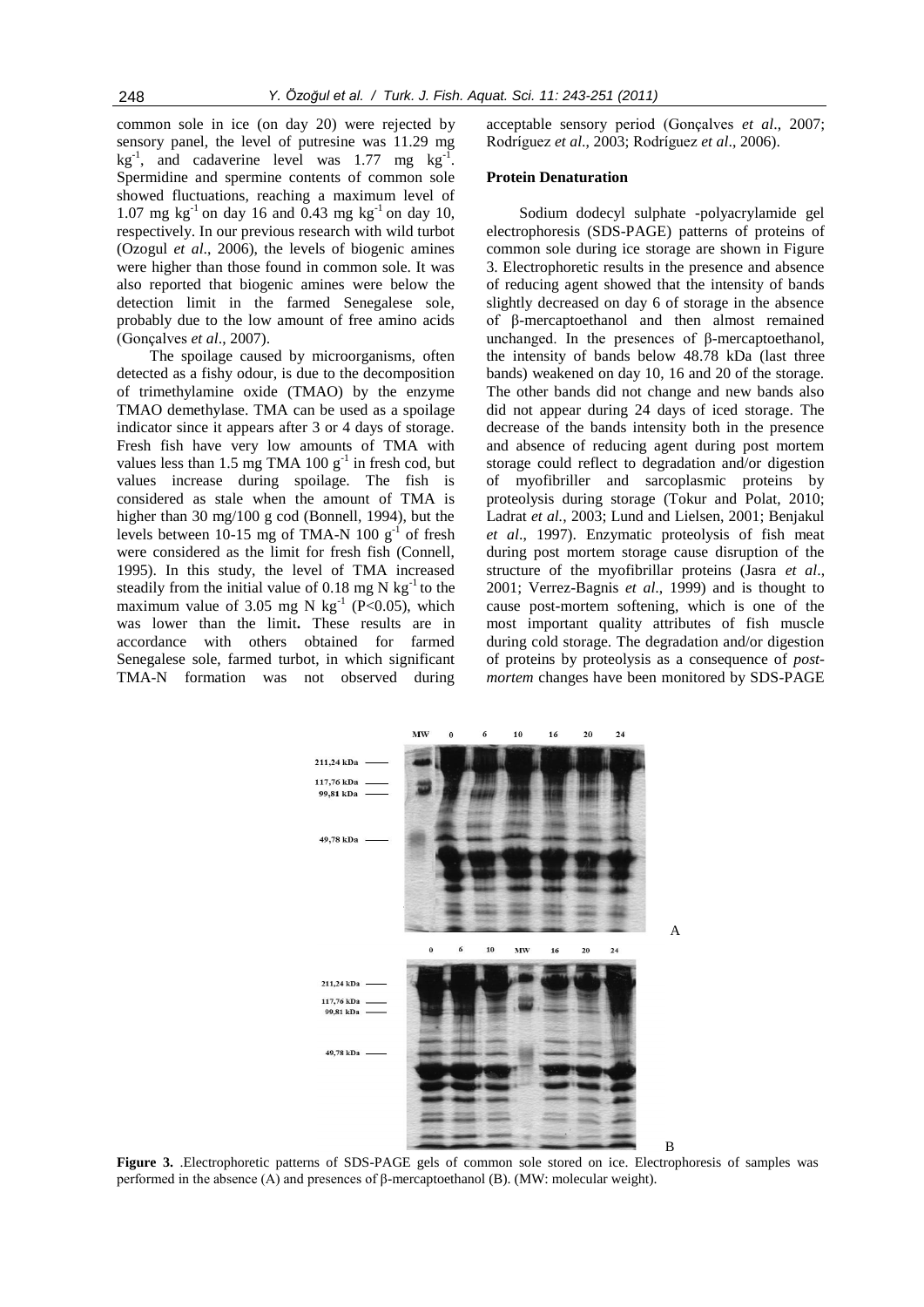common sole in ice (on day 20) were rejected by sensory panel, the level of putresine was 11.29 mg  $\text{kg}^{-1}$ , and cadaverine level was 1.77 mg  $\text{kg}^{-1}$ . Spermidine and spermine contents of common sole showed fluctuations, reaching a maximum level of 1.07 mg  $kg^{-1}$  on day 16 and 0.43 mg  $kg^{-1}$  on day 10, respectively. In our previous research with wild turbot (Ozogul *et al*., 2006), the levels of biogenic amines were higher than those found in common sole. It was also reported that biogenic amines were below the detection limit in the farmed Senegalese sole, probably due to the low amount of free amino acids (Gonçalves *et al*., 2007).

The spoilage caused by microorganisms, often detected as a fishy odour, is due to the decomposition of trimethylamine oxide (TMAO) by the enzyme TMAO demethylase. TMA can be used as a spoilage indicator since it appears after 3 or 4 days of storage. Fresh fish have very low amounts of TMA with values less than 1.5 mg TMA 100  $g^{-1}$  in fresh cod, but values increase during spoilage. The fish is considered as stale when the amount of TMA is higher than 30 mg/100 g cod (Bonnell, 1994), but the levels between 10-15 mg of TMA-N 100  $g^{-1}$  of fresh were considered as the limit for fresh fish (Connell, 1995). In this study, the level of TMA increased steadily from the initial value of 0.18 mg N  $kg^{-1}$  to the maximum value of 3.05 mg N  $\text{kg}^{-1}$  (P<0.05), which was lower than the limit**.** These results are in accordance with others obtained for farmed Senegalese sole, farmed turbot, in which significant TMA-N formation was not observed during

acceptable sensory period (Gonçalves *et al*., 2007; Rodríguez *et al*., 2003; Rodríguez *et al*., 2006).

## **Protein Denaturation**

Sodium dodecyl sulphate -polyacrylamide gel electrophoresis (SDS-PAGE) patterns of proteins of common sole during ice storage are shown in Figure 3. Electrophoretic results in the presence and absence of reducing agent showed that the intensity of bands slightly decreased on day 6 of storage in the absence of β-mercaptoethanol and then almost remained unchanged. In the presences of β-mercaptoethanol, the intensity of bands below 48.78 kDa (last three bands) weakened on day 10, 16 and 20 of the storage. The other bands did not change and new bands also did not appear during 24 days of iced storage. The decrease of the bands intensity both in the presence and absence of reducing agent during post mortem storage could reflect to degradation and/or digestion of myofibriller and sarcoplasmic proteins by proteolysis during storage (Tokur and Polat, 2010; Ladrat *et al.*, 2003; Lund and Lielsen, 2001; Benjakul *et al*., 1997). Enzymatic proteolysis of fish meat during post mortem storage cause disruption of the structure of the myofibrillar proteins (Jasra *et al*., 2001; Verrez-Bagnis *et al*., 1999) and is thought to cause post-mortem softening, which is one of the most important quality attributes of fish muscle during cold storage. The degradation and/or digestion of proteins by proteolysis as a consequence of *postmortem* changes have been monitored by SDS-PAGE



**Figure 3.** .Electrophoretic patterns of SDS-PAGE gels of common sole stored on ice. Electrophoresis of samples was performed in the absence (A) and presences of β-mercaptoethanol (B). (MW: molecular weight).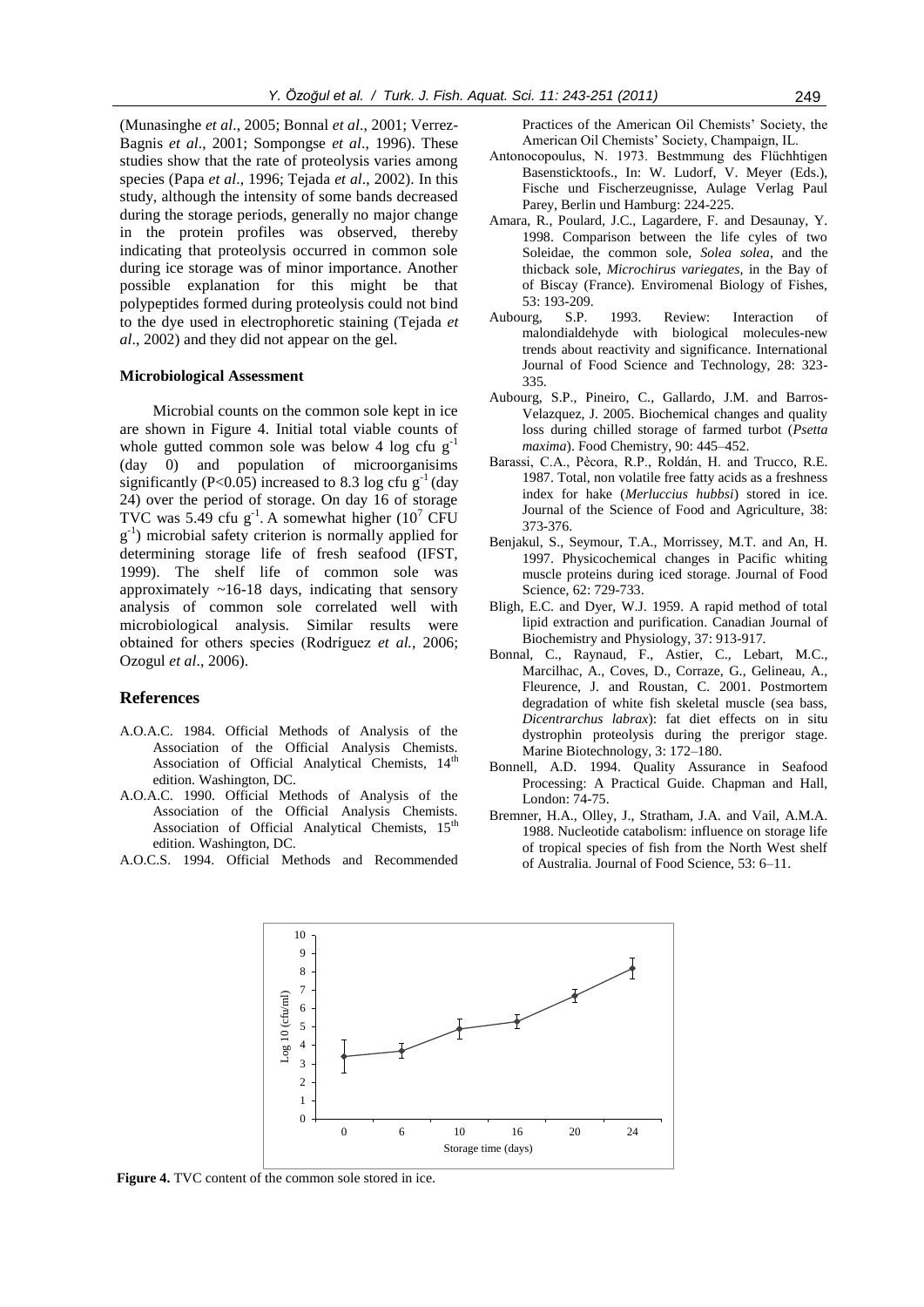(Munasinghe *et al*., 2005; Bonnal *et al*., 2001; Verrez-Bagnis *et al*., 2001; Sompongse *et al*., 1996). These studies show that the rate of proteolysis varies among species (Papa *et al*., 1996; Tejada *et al*., 2002). In this study, although the intensity of some bands decreased during the storage periods, generally no major change in the protein profiles was observed, thereby indicating that proteolysis occurred in common sole during ice storage was of minor importance. Another possible explanation for this might be that polypeptides formed during proteolysis could not bind to the dye used in electrophoretic staining (Tejada *et al*., 2002) and they did not appear on the gel.

## **Microbiological Assessment**

Microbial counts on the common sole kept in ice are shown in Figure 4. Initial total viable counts of whole gutted common sole was below 4 log cfu  $g^{-1}$ (day 0) and population of microorganisims significantly (P<0.05) increased to 8.3 log cfu  $g^{-1}$  (day 24) over the period of storage. On day 16 of storage TVC was 5.49 cfu  $g^{-1}$ . A somewhat higher (10<sup>7</sup> CFU g -1 ) microbial safety criterion is normally applied for determining storage life of fresh seafood (IFST, 1999). The shelf life of common sole was approximately  $~16-18$  days, indicating that sensory analysis of common sole correlated well with microbiological analysis. Similar results were obtained for others species (Rodríguez *et al.*, 2006; Ozogul *et al*., 2006).

## **References**

- A.O.A.C. 1984. Official Methods of Analysis of the Association of the Official Analysis Chemists. Association of Official Analytical Chemists, 14<sup>th</sup> edition. Washington, DC.
- A.O.A.C. 1990. Official Methods of Analysis of the Association of the Official Analysis Chemists. Association of Official Analytical Chemists, 15<sup>th</sup> edition. Washington, DC.
- A.O.C.S. 1994. Official Methods and Recommended

Practices of the American Oil Chemists' Society, the American Oil Chemists' Society, Champaign, IL.

- Antonocopoulus, N. 1973. Bestmmung des Flüchhtigen Basensticktoofs., In: W. Ludorf, V. Meyer (Eds.), Fische und Fischerzeugnisse, Aulage Verlag Paul Parey, Berlin und Hamburg: 224-225.
- Amara, R., Poulard, J.C., Lagardere, F. and Desaunay, Y. 1998. Comparison between the life cyles of two Soleidae, the common sole, *Solea solea*, and the thicback sole, *Microchirus variegates*, in the Bay of of Biscay (France). Enviromenal Biology of Fishes, 53: 193-209.
- Aubourg, S.P. 1993. Review: Interaction of malondialdehyde with biological molecules-new trends about reactivity and significance. International Journal of Food Science and Technology, 28: 323- 335.
- Aubourg, S.P., Pineiro, C., Gallardo, J.M. and Barros-Velazquez, J. 2005. Biochemical changes and quality loss during chilled storage of farmed turbot (*Psetta maxima*). Food Chemistry, 90: 445–452.
- Barassi, C.A., Pècora, R.P., Roldán, H. and Trucco, R.E. 1987. Total, non volatile free fatty acids as a freshness index for hake (*Merluccius hubbsi*) stored in ice. Journal of the Science of Food and Agriculture, 38: 373-376.
- Benjakul, S., Seymour, T.A., Morrissey, M.T. and An, H. 1997. Physicochemical changes in Pacific whiting muscle proteins during iced storage. Journal of Food Science*,* 62: 729-733.
- Bligh, E.C. and Dyer, W.J. 1959. A rapid method of total lipid extraction and purification. Canadian Journal of Biochemistry and Physiology*,* 37: 913-917.
- Bonnal, C., Raynaud, F., Astier, C., Lebart, M.C., Marcilhac, A., Coves, D., Corraze, G., Gelineau, A., Fleurence, J. and Roustan, C. 2001. Postmortem degradation of white fish skeletal muscle (sea bass, *Dicentrarchus labrax*): fat diet effects on in situ dystrophin proteolysis during the prerigor stage. Marine Biotechnology*,* 3: 172–180.
- Bonnell, A.D. 1994. Quality Assurance in Seafood Processing: A Practical Guide. Chapman and Hall, London: 74-75.
- Bremner, H.A., Olley, J., Stratham, J.A. and Vail, A.M.A. 1988. Nucleotide catabolism: influence on storage life of tropical species of fish from the North West shelf of Australia. Journal of Food Science, 53: 6–11.



**Figure 4.** TVC content of the common sole stored in ice.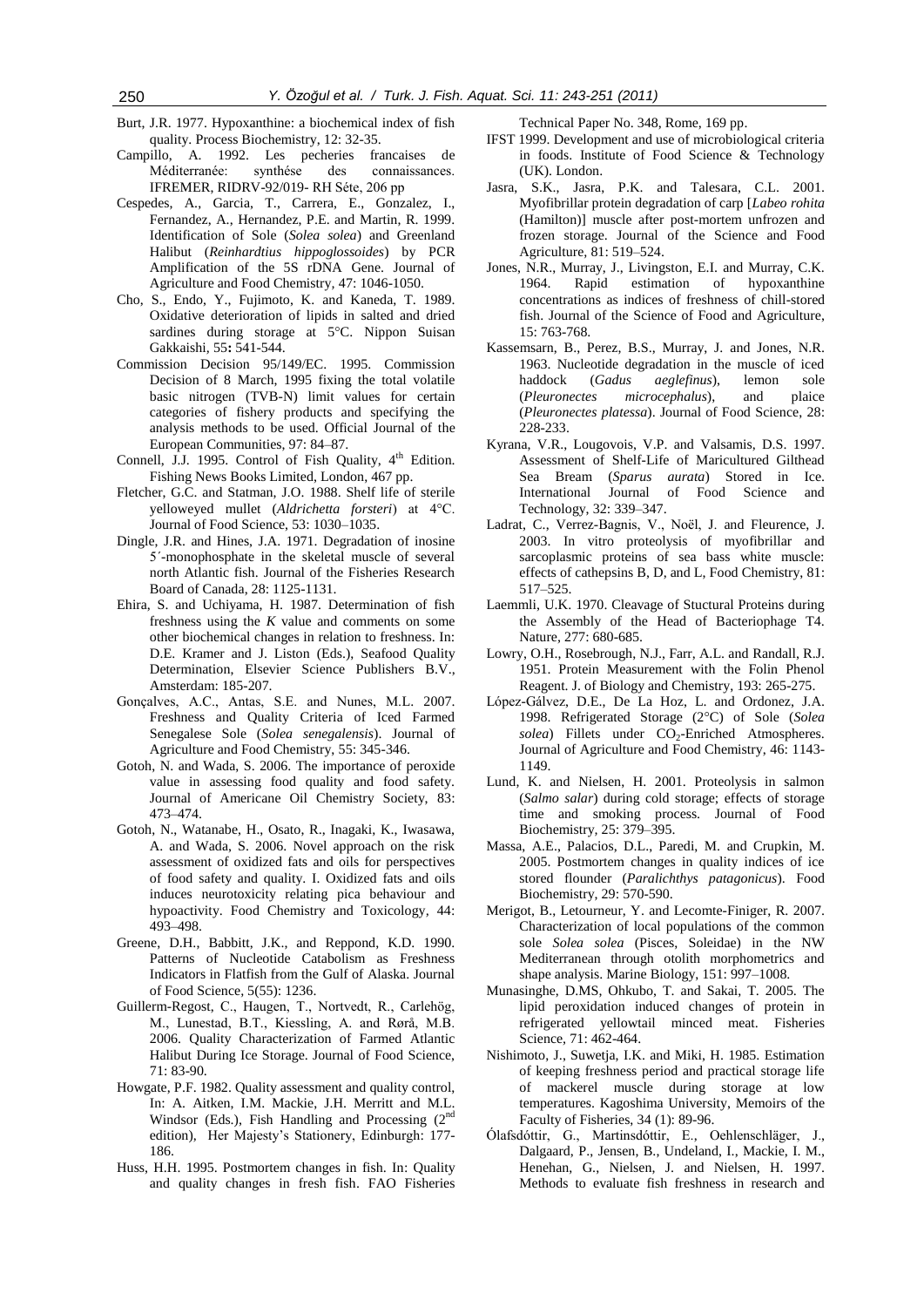- Burt, J.R. 1977. Hypoxanthine: a biochemical index of fish quality. Process Biochemistry, 12: 32-35.
- Campillo, A. 1992. Les pecheries francaises de Méditerranée: synthése des connaissances. IFREMER, RIDRV-92/019- RH Séte, 206 pp
- Cespedes, A., Garcia, T., Carrera, E., Gonzalez, I., Fernandez, A., Hernandez, P.E. and Martin, R. 1999. Identification of Sole (*Solea solea*) and Greenland Halibut (*Reinhardtius hippoglossoides*) by PCR Amplification of the 5S rDNA Gene. Journal of Agriculture and Food Chemistry*,* 47: 1046-1050.
- Cho, S., Endo, Y., Fujimoto, K. and Kaneda, T. 1989. Oxidative deterioration of lipids in salted and dried sardines during storage at 5°C. Nippon Suisan Gakkaishi*,* 55**:** 541-544.
- Commission Decision 95/149/EC. 1995. Commission Decision of 8 March, 1995 fixing the total volatile basic nitrogen (TVB-N) limit values for certain categories of fishery products and specifying the analysis methods to be used. Official Journal of the European Communities, 97: 84–87.
- Connell, J.J. 1995. Control of Fish Quality, 4<sup>th</sup> Edition. Fishing News Books Limited, London, 467 pp.
- Fletcher, G.C. and Statman, J.O. 1988. Shelf life of sterile yelloweyed mullet (*Aldrichetta forsteri*) at 4°C. Journal of Food Science, 53: 1030–1035.
- Dingle, J.R. and Hines, J.A. 1971. Degradation of inosine 5΄-monophosphate in the skeletal muscle of several north Atlantic fish. Journal of the Fisheries Research Board of Canada, 28: 1125-1131.
- Ehira, S. and Uchiyama, H. 1987. Determination of fish freshness using the *K* value and comments on some other biochemical changes in relation to freshness. In: D.E. Kramer and J. Liston (Eds.), Seafood Quality Determination, Elsevier Science Publishers B.V., Amsterdam: 185-207.
- Gonçalves, A.C., Antas, S.E. and Nunes, M.L. 2007. Freshness and Quality Criteria of Iced Farmed Senegalese Sole (*Solea senegalensis*). Journal of Agriculture and Food Chemistry, 55: 345-346.
- Gotoh, N. and Wada, S. 2006. The importance of peroxide value in assessing food quality and food safety. Journal of Americane Oil Chemistry Society, 83: 473–474.
- Gotoh, N., Watanabe, H., Osato, R., Inagaki, K., Iwasawa, A. and Wada, S. 2006. Novel approach on the risk assessment of oxidized fats and oils for perspectives of food safety and quality. I. Oxidized fats and oils induces neurotoxicity relating pica behaviour and hypoactivity. Food Chemistry and Toxicology*,* 44: 493–498.
- Greene, D.H., Babbitt, J.K., and Reppond, K.D. 1990. Patterns of Nucleotide Catabolism as Freshness Indicators in Flatfish from the Gulf of Alaska. Journal of Food Science*,* 5(55): 1236.
- Guillerm-Regost, C., Haugen, T., Nortvedt, R., Carlehög, M., Lunestad, B.T., Kiessling, A. and Rørå, M.B. 2006. Quality Characterization of Farmed Atlantic Halibut During Ice Storage. Journal of Food Science, 71: 83-90.
- Howgate, P.F. 1982. Quality assessment and quality control, In: A. Aitken, I.M. Mackie, J.H. Merritt and M.L. Windsor (Eds.), Fish Handling and Processing (2<sup>nd</sup>) edition), Her Majesty's Stationery, Edinburgh: 177- 186.
- Huss, H.H. 1995. Postmortem changes in fish. In: Quality and quality changes in fresh fish. FAO Fisheries

Technical Paper No. 348, Rome, 169 pp.

- IFST 1999. Development and use of microbiological criteria in foods. Institute of Food Science & Technology (UK). London.
- Jasra, S.K., Jasra, P.K. and Talesara, C.L. 2001. Myofibrillar protein degradation of carp [*Labeo rohita* (Hamilton)] muscle after post-mortem unfrozen and frozen storage. Journal of the Science and Food Agriculture*,* 81: 519–524.
- Jones, N.R., Murray, J., Livingston, E.I. and Murray, C.K. 1964. Rapid estimation of hypoxanthine concentrations as indices of freshness of chill-stored fish. Journal of the Science of Food and Agriculture, 15: 763-768.
- Kassemsarn, B., Perez, B.S., Murray, J. and Jones, N.R. 1963. Nucleotide degradation in the muscle of iced haddock (*Gadus aeglefinus*), lemon sole (*Pleuronectes microcephalus*), and plaice (*Pleuronectes platessa*). Journal of Food Science, 28: 228-233.
- Kyrana, V.R., Lougovois, V.P. and Valsamis, D.S. 1997. Assessment of Shelf-Life of Maricultured Gilthead Sea Bream (*Sparus aurata*) Stored in Ice. International Journal of Food Science and Technology, 32: 339–347.
- Ladrat, C., Verrez-Bagnis, V., Noël, J. and Fleurence, J. 2003. In vitro proteolysis of myofibrillar and sarcoplasmic proteins of sea bass white muscle: effects of cathepsins B, D, and L, Food Chemistry, 81: 517–525.
- Laemmli, U.K. 1970. Cleavage of Stuctural Proteins during the Assembly of the Head of Bacteriophage T4. Nature*,* 277: 680-685.
- Lowry, O.H., Rosebrough, N.J., Farr, A.L. and Randall, R.J. 1951. Protein Measurement with the Folin Phenol Reagent. J. of Biology and Chemistry, 193: 265-275.
- López-Gálvez, D.E., De La Hoz, L. and Ordonez, J.A. 1998. Refrigerated Storage (2°C) of Sole (*Solea*  solea) Fillets under CO<sub>2</sub>-Enriched Atmospheres. Journal of Agriculture and Food Chemistry, 46: 1143- 1149.
- [Lund,](http://www.sciencedirect.com/science?_ob=ArticleURL&_udi=B6T6R-47RJKBS-W&_user=613195&_rdoc=1&_fmt=&_orig=search&_sort=d&_docanchor=&view=c&_acct=C000031979&_version=1&_urlVersion=0&_userid=613195&md5=4a673c2ef9b63c7399f48d19923d2180#bbib23#bbib23) K. and Nielsen, H. 2001. Proteolysis in salmon (*Salmo salar*) during cold storage; effects of storage time and smoking process. Journal of Food Biochemistry*,* 25: 379–395.
- Massa, A.E., Palacios, D.L., Paredi, M. and Crupkin, M. 2005. Postmortem changes in quality indices of ice stored flounder (*Paralichthys patagonicus*). Food Biochemistry, 29: 570-590.
- Merigot, B., Letourneur, Y. and Lecomte-Finiger, R. 2007. Characterization of local populations of the common sole *Solea solea* (Pisces, Soleidae) in the NW Mediterranean through otolith morphometrics and shape analysis. Marine Biology, 151: 997–1008.
- Munasinghe, D.MS, Ohkubo, T. and Sakai, T. 2005. The lipid peroxidation induced changes of protein in refrigerated yellowtail minced meat. Fisheries Science*,* 71: 462-464.
- Nishimoto, J., Suwetja, I.K. and Miki, H. 1985. Estimation of keeping freshness period and practical storage life of mackerel muscle during storage at low temperatures. Kagoshima University, Memoirs of the Faculty of Fisheries, 34 (1): 89-96.
- Ólafsdόttir, G., Martinsdόttir, E., Oehlenschläger, J., Dalgaard, P., Jensen, B., Undeland, I., Mackie, I. M., Henehan, G., Nielsen, J. and Nielsen, H. 1997. Methods to evaluate fish freshness in research and